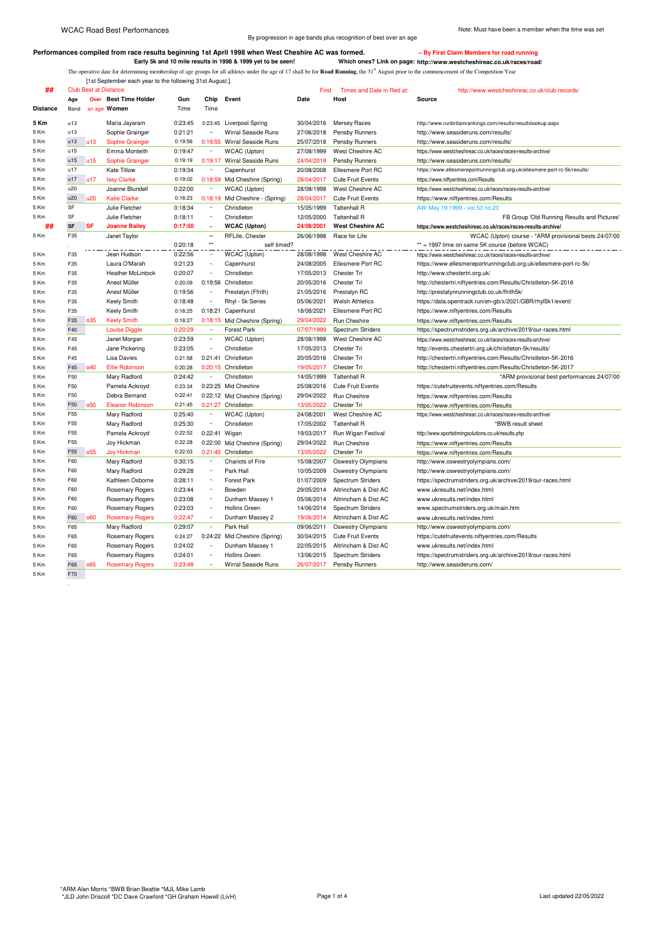By progression in age bands plus recognition of best over an age

## **Performances compiled from race results beginning 1st April 1998 when West Cheshire AC was formed. – By First Claim Members for road running**

**Early 5k and 10 mile results in 1998 & 1999 yet to be seen! Which ones? Link on page: http://www.westcheshireac.co.uk/races/road/** The operative date for determining membership of age groups for all athletes under the age of 17 shall be for **Road Running**, the 31<sup>st</sup> August prior to the commencement of the Competition Year

[1st September each year to the following 31st August.].

| Age<br><b>Over</b> Best Time Holder<br>Gun<br>Chip<br>Event<br>Date<br>Host<br>Source<br><b>Distance</b><br>an age Women<br>Time<br>Time<br>Band<br>5 Km<br>u13<br>0:23:45<br>Maria Jayaram<br>0:23:45 Liverpool Spring<br>30/04/2016<br><b>Mersey Races</b><br>http://www.runbritainrankings.com/results/resultslookup.aspx<br>u13<br>0:21:21<br>Wirral Seaside Runs<br>5 Km<br>Sophie Grainger<br>$\sim$<br>27/06/2018<br>Pensby Runners<br>http://www.seasideruns.com/results/<br>0:19:55 Wirral Seaside Runs<br>u13<br>25/07/2018<br>Pensby Runners<br>http://www.seasideruns.com/results/<br>5 Km<br>u13<br><b>Sophie Grainger</b><br>0:19:56<br>u15<br>0:19:47<br>West Cheshire AC<br>5 Km<br>Emma Monteith<br>$\sim$<br>WCAC (Upton)<br>27/08/1999<br>https://www.westcheshireac.co.uk/races/races-results-archive/<br>u15<br>u <sub>15</sub><br>Sophie Grainger<br>0:19:19<br>0:19:17 Wirral Seaside Runs<br>24/04/2019<br>Pensby Runners<br>http://www.seasideruns.com/results/<br>5 Km<br>u17<br>Kate Titlow<br>0:19:34<br>$\sim$<br>Capenhurst<br>Ellesmere Port RC<br>https://www.ellesmereportrunningclub.org.uk/ellesmere-port-rc-5k/results/<br>5 Km<br>20/08/2008<br>u17<br>u17<br><b>Issy Clarke</b><br>0:19:02<br>0:18:59 Mid Cheshire (Spring)<br>28/04/2017<br><b>Cute Fruit Events</b><br>5 Km<br>https://www.niftyentries.com/Results<br>Joanne Blundell<br>0:22:00<br>WCAC (Upton)<br>28/08/1998<br>West Cheshire AC<br>u20<br>5 Km<br>$\sim$<br>https://www.westcheshireac.co.uk/races/races-results-archive/<br>u20<br>1120<br>0:18:23<br>5 Km<br><b>Katie Clarke</b><br>0:18:19 Mid Cheshire - (Spring)<br>28/04/2017<br><b>Cute Fruit Events</b><br>https://www.niftyentries.com/Results<br>Julie Fletcher<br>0:18:34<br>AW May 19 1999 - vol.53 no.20<br>SF<br>Christleton<br>15/05/1999<br><b>Tattenhall R</b><br>5 Km<br>$\sim$<br>SF<br>Julie Fletcher<br>0:18:11<br>Christleton<br>12/05/2000<br>FB Group 'Old Running Results and Pictures'<br>5 Km<br>$\sim$<br><b>Tattenhall R</b><br><b>SF</b><br><b>SF</b><br>##<br><b>Joanne Bailey</b><br>0:17:50<br><b>WCAC (Upton)</b><br>24/08/2001<br><b>West Cheshire AC</b><br>https://www.westcheshireac.co.uk/races/races-results-archive/<br>$\sim$<br>F35<br>WCAC (Upton) course - *ARM provisional bests 24/07/00<br>5 Km<br>Janet Taylor<br>$\sim$<br>RFLife, Chester<br>26/06/1998<br>Race for Life<br>$\star\star$<br>** = 1997 time on same 5K course (before WCAC)<br>0:20:18<br>self timed?<br>0:22:56<br>WCAC (Upton)<br>F35<br>Jean Hudson<br>28/08/1998<br>West Cheshire AC<br>https://www.westcheshireac.co.uk/races/races-results-archive/<br>5 Km<br>5 Km<br>F35<br>Laura O'Marah<br>0:21:23<br>$\sim$<br>https://www.ellesmereportrunningclub.org.uk/ellesmere-port-rc-5k/<br>Capenhurst<br>24/08/2005<br>Ellesmere Port RC<br>F35<br><b>Heather McLintock</b><br>0:20:07<br>$\sim$<br>Christleton<br>17/05/2013<br>Chester Tri<br>http://www.chestertri.org.uk/<br>5 Km<br>F35<br>0:20:09<br>5 Km<br>Anest Müller<br>0:19:56<br>Christleton<br>20/05/2016<br>Chester Tri<br>http://chestertri.niftyentries.com/Results/Christleton-5K-2016<br>F35<br>0:19:56<br>5 Km<br>Anest Müller<br>$\tilde{\phantom{a}}$<br>Prestatyn (Ffrith)<br>21/05/2016<br>Prestatyn RC<br>http://prestatynrunningclub.co.uk/ffrith5k/<br>Keely Smith<br>0:18:48<br><b>Welsh Athletics</b><br>F35<br>$\sim$<br>Rhyl - 5k Series<br>05/06/2021<br>https://data.opentrack.run/en-gb/x/2021/GBR/rhyl5k1/event/<br>5 Km<br>5 Km<br>F35<br><b>Keely Smith</b><br>0:18:25<br>0:18:21 Capenhurst<br>18/08/2021<br>Ellesmere Port RC<br>https://www.niftyentries.com/Results<br>035<br><b>Keely Smith</b><br>29/04/2022<br>F35<br>0:18:27<br>0:18:15 Mid Cheshire (Spring)<br>Run Cheshire<br>5 Km<br>https://www.niftyentries.com/Results<br>F40<br>0:20:29<br>5 Km<br><b>Louise Diggle</b><br>$\sim$<br><b>Forest Park</b><br>07/07/1999<br>Spectrum Striders<br>https://spectrumstriders.org.uk/archive/2019/our-races.html<br>F45<br>Janet Morgan<br>0:23:59<br>$\sim$<br>WCAC (Upton)<br>28/08/1998<br>West Cheshire AC<br>5 Km<br>https://www.westcheshireac.co.uk/races/races-results-archive/<br>F45<br>Jane Pickering<br>0:23:05<br>Christleton<br>5 Km<br>$\sim$<br>17/05/2013<br>Chester Tri<br>http://events.chestertri.org.uk/christleton-5k/results/<br>F45<br><b>Lisa Davies</b><br>0:21:58<br>0:21:41 Christleton<br>5 Km<br>20/05/2016<br>Chester Tri<br>http://chestertri.niftyentries.com/Results/Christleton-5K-2016<br>040<br>F45<br><b>Ellie Robinson</b><br>0:20:28<br>0:20:15 Christleton<br>19/05/2017<br>Chester Tri<br>http://chestertri.niftyentries.com/Results/Christleton-5K-2017<br>5 Km<br>F50<br>Mary Radford<br>0:24:42<br>$\sim$<br>14/05/1999<br><b>Tattenhall R</b><br>5 Km<br>Christleton<br>*ARM provisional best performances 24/07/00<br>F50<br>0:23:34<br>0:23:25 Mid Cheshire<br>Pamela Ackroyd<br>25/08/2016<br><b>Cute Fruit Events</b><br>https://cutefruitevents.niftyentries.com/Results<br>5 Km<br>Debra Bemand<br>0:22:41<br>29/04/2022<br>F50<br>0:22:12 Mid Cheshire (Spring)<br>5 Km<br>Run Cheshire<br>https://www.niftyentries.com/Results<br>F50<br>0.50<br><b>Eleanor Robinson</b><br>0:21:45<br>0:21:27 Christleton<br>13/05/2022<br>5 Km<br>Chester Tri<br>https://www.niftyentries.com/Results<br>Mary Radford<br>0:25:40<br>West Cheshire AC<br>F55<br>WCAC (Upton)<br>24/08/2001<br>5 Km<br>$\sim$<br>https://www.westcheshireac.co.uk/races/races-results-archive/ |
|------------------------------------------------------------------------------------------------------------------------------------------------------------------------------------------------------------------------------------------------------------------------------------------------------------------------------------------------------------------------------------------------------------------------------------------------------------------------------------------------------------------------------------------------------------------------------------------------------------------------------------------------------------------------------------------------------------------------------------------------------------------------------------------------------------------------------------------------------------------------------------------------------------------------------------------------------------------------------------------------------------------------------------------------------------------------------------------------------------------------------------------------------------------------------------------------------------------------------------------------------------------------------------------------------------------------------------------------------------------------------------------------------------------------------------------------------------------------------------------------------------------------------------------------------------------------------------------------------------------------------------------------------------------------------------------------------------------------------------------------------------------------------------------------------------------------------------------------------------------------------------------------------------------------------------------------------------------------------------------------------------------------------------------------------------------------------------------------------------------------------------------------------------------------------------------------------------------------------------------------------------------------------------------------------------------------------------------------------------------------------------------------------------------------------------------------------------------------------------------------------------------------------------------------------------------------------------------------------------------------------------------------------------------------------------------------------------------------------------------------------------------------------------------------------------------------------------------------------------------------------------------------------------------------------------------------------------------------------------------------------------------------------------------------------------------------------------------------------------------------------------------------------------------------------------------------------------------------------------------------------------------------------------------------------------------------------------------------------------------------------------------------------------------------------------------------------------------------------------------------------------------------------------------------------------------------------------------------------------------------------------------------------------------------------------------------------------------------------------------------------------------------------------------------------------------------------------------------------------------------------------------------------------------------------------------------------------------------------------------------------------------------------------------------------------------------------------------------------------------------------------------------------------------------------------------------------------------------------------------------------------------------------------------------------------------------------------------------------------------------------------------------------------------------------------------------------------------------------------------------------------------------------------------------------------------------------------------------------------------------------------------------------------------------------------------------------------------------------------------------------------------------------------------------------------------------------------------------------------------------------------------------------------------------------------------------------------------------------------------------------------------------------------------------------------------------------------------------------------------------------------------------------------------------------------------------------------------------------------------------------------------------------------------------------------------------------------------------------------------------------------------------------------------------------------------------------------------------------------------------------|
|                                                                                                                                                                                                                                                                                                                                                                                                                                                                                                                                                                                                                                                                                                                                                                                                                                                                                                                                                                                                                                                                                                                                                                                                                                                                                                                                                                                                                                                                                                                                                                                                                                                                                                                                                                                                                                                                                                                                                                                                                                                                                                                                                                                                                                                                                                                                                                                                                                                                                                                                                                                                                                                                                                                                                                                                                                                                                                                                                                                                                                                                                                                                                                                                                                                                                                                                                                                                                                                                                                                                                                                                                                                                                                                                                                                                                                                                                                                                                                                                                                                                                                                                                                                                                                                                                                                                                                                                                                                                                                                                                                                                                                                                                                                                                                                                                                                                                                                                                                                                                                                                                                                                                                                                                                                                                                                                                                                                                                                                                                      |
|                                                                                                                                                                                                                                                                                                                                                                                                                                                                                                                                                                                                                                                                                                                                                                                                                                                                                                                                                                                                                                                                                                                                                                                                                                                                                                                                                                                                                                                                                                                                                                                                                                                                                                                                                                                                                                                                                                                                                                                                                                                                                                                                                                                                                                                                                                                                                                                                                                                                                                                                                                                                                                                                                                                                                                                                                                                                                                                                                                                                                                                                                                                                                                                                                                                                                                                                                                                                                                                                                                                                                                                                                                                                                                                                                                                                                                                                                                                                                                                                                                                                                                                                                                                                                                                                                                                                                                                                                                                                                                                                                                                                                                                                                                                                                                                                                                                                                                                                                                                                                                                                                                                                                                                                                                                                                                                                                                                                                                                                                                      |
|                                                                                                                                                                                                                                                                                                                                                                                                                                                                                                                                                                                                                                                                                                                                                                                                                                                                                                                                                                                                                                                                                                                                                                                                                                                                                                                                                                                                                                                                                                                                                                                                                                                                                                                                                                                                                                                                                                                                                                                                                                                                                                                                                                                                                                                                                                                                                                                                                                                                                                                                                                                                                                                                                                                                                                                                                                                                                                                                                                                                                                                                                                                                                                                                                                                                                                                                                                                                                                                                                                                                                                                                                                                                                                                                                                                                                                                                                                                                                                                                                                                                                                                                                                                                                                                                                                                                                                                                                                                                                                                                                                                                                                                                                                                                                                                                                                                                                                                                                                                                                                                                                                                                                                                                                                                                                                                                                                                                                                                                                                      |
|                                                                                                                                                                                                                                                                                                                                                                                                                                                                                                                                                                                                                                                                                                                                                                                                                                                                                                                                                                                                                                                                                                                                                                                                                                                                                                                                                                                                                                                                                                                                                                                                                                                                                                                                                                                                                                                                                                                                                                                                                                                                                                                                                                                                                                                                                                                                                                                                                                                                                                                                                                                                                                                                                                                                                                                                                                                                                                                                                                                                                                                                                                                                                                                                                                                                                                                                                                                                                                                                                                                                                                                                                                                                                                                                                                                                                                                                                                                                                                                                                                                                                                                                                                                                                                                                                                                                                                                                                                                                                                                                                                                                                                                                                                                                                                                                                                                                                                                                                                                                                                                                                                                                                                                                                                                                                                                                                                                                                                                                                                      |
|                                                                                                                                                                                                                                                                                                                                                                                                                                                                                                                                                                                                                                                                                                                                                                                                                                                                                                                                                                                                                                                                                                                                                                                                                                                                                                                                                                                                                                                                                                                                                                                                                                                                                                                                                                                                                                                                                                                                                                                                                                                                                                                                                                                                                                                                                                                                                                                                                                                                                                                                                                                                                                                                                                                                                                                                                                                                                                                                                                                                                                                                                                                                                                                                                                                                                                                                                                                                                                                                                                                                                                                                                                                                                                                                                                                                                                                                                                                                                                                                                                                                                                                                                                                                                                                                                                                                                                                                                                                                                                                                                                                                                                                                                                                                                                                                                                                                                                                                                                                                                                                                                                                                                                                                                                                                                                                                                                                                                                                                                                      |
|                                                                                                                                                                                                                                                                                                                                                                                                                                                                                                                                                                                                                                                                                                                                                                                                                                                                                                                                                                                                                                                                                                                                                                                                                                                                                                                                                                                                                                                                                                                                                                                                                                                                                                                                                                                                                                                                                                                                                                                                                                                                                                                                                                                                                                                                                                                                                                                                                                                                                                                                                                                                                                                                                                                                                                                                                                                                                                                                                                                                                                                                                                                                                                                                                                                                                                                                                                                                                                                                                                                                                                                                                                                                                                                                                                                                                                                                                                                                                                                                                                                                                                                                                                                                                                                                                                                                                                                                                                                                                                                                                                                                                                                                                                                                                                                                                                                                                                                                                                                                                                                                                                                                                                                                                                                                                                                                                                                                                                                                                                      |
|                                                                                                                                                                                                                                                                                                                                                                                                                                                                                                                                                                                                                                                                                                                                                                                                                                                                                                                                                                                                                                                                                                                                                                                                                                                                                                                                                                                                                                                                                                                                                                                                                                                                                                                                                                                                                                                                                                                                                                                                                                                                                                                                                                                                                                                                                                                                                                                                                                                                                                                                                                                                                                                                                                                                                                                                                                                                                                                                                                                                                                                                                                                                                                                                                                                                                                                                                                                                                                                                                                                                                                                                                                                                                                                                                                                                                                                                                                                                                                                                                                                                                                                                                                                                                                                                                                                                                                                                                                                                                                                                                                                                                                                                                                                                                                                                                                                                                                                                                                                                                                                                                                                                                                                                                                                                                                                                                                                                                                                                                                      |
|                                                                                                                                                                                                                                                                                                                                                                                                                                                                                                                                                                                                                                                                                                                                                                                                                                                                                                                                                                                                                                                                                                                                                                                                                                                                                                                                                                                                                                                                                                                                                                                                                                                                                                                                                                                                                                                                                                                                                                                                                                                                                                                                                                                                                                                                                                                                                                                                                                                                                                                                                                                                                                                                                                                                                                                                                                                                                                                                                                                                                                                                                                                                                                                                                                                                                                                                                                                                                                                                                                                                                                                                                                                                                                                                                                                                                                                                                                                                                                                                                                                                                                                                                                                                                                                                                                                                                                                                                                                                                                                                                                                                                                                                                                                                                                                                                                                                                                                                                                                                                                                                                                                                                                                                                                                                                                                                                                                                                                                                                                      |
|                                                                                                                                                                                                                                                                                                                                                                                                                                                                                                                                                                                                                                                                                                                                                                                                                                                                                                                                                                                                                                                                                                                                                                                                                                                                                                                                                                                                                                                                                                                                                                                                                                                                                                                                                                                                                                                                                                                                                                                                                                                                                                                                                                                                                                                                                                                                                                                                                                                                                                                                                                                                                                                                                                                                                                                                                                                                                                                                                                                                                                                                                                                                                                                                                                                                                                                                                                                                                                                                                                                                                                                                                                                                                                                                                                                                                                                                                                                                                                                                                                                                                                                                                                                                                                                                                                                                                                                                                                                                                                                                                                                                                                                                                                                                                                                                                                                                                                                                                                                                                                                                                                                                                                                                                                                                                                                                                                                                                                                                                                      |
|                                                                                                                                                                                                                                                                                                                                                                                                                                                                                                                                                                                                                                                                                                                                                                                                                                                                                                                                                                                                                                                                                                                                                                                                                                                                                                                                                                                                                                                                                                                                                                                                                                                                                                                                                                                                                                                                                                                                                                                                                                                                                                                                                                                                                                                                                                                                                                                                                                                                                                                                                                                                                                                                                                                                                                                                                                                                                                                                                                                                                                                                                                                                                                                                                                                                                                                                                                                                                                                                                                                                                                                                                                                                                                                                                                                                                                                                                                                                                                                                                                                                                                                                                                                                                                                                                                                                                                                                                                                                                                                                                                                                                                                                                                                                                                                                                                                                                                                                                                                                                                                                                                                                                                                                                                                                                                                                                                                                                                                                                                      |
|                                                                                                                                                                                                                                                                                                                                                                                                                                                                                                                                                                                                                                                                                                                                                                                                                                                                                                                                                                                                                                                                                                                                                                                                                                                                                                                                                                                                                                                                                                                                                                                                                                                                                                                                                                                                                                                                                                                                                                                                                                                                                                                                                                                                                                                                                                                                                                                                                                                                                                                                                                                                                                                                                                                                                                                                                                                                                                                                                                                                                                                                                                                                                                                                                                                                                                                                                                                                                                                                                                                                                                                                                                                                                                                                                                                                                                                                                                                                                                                                                                                                                                                                                                                                                                                                                                                                                                                                                                                                                                                                                                                                                                                                                                                                                                                                                                                                                                                                                                                                                                                                                                                                                                                                                                                                                                                                                                                                                                                                                                      |
|                                                                                                                                                                                                                                                                                                                                                                                                                                                                                                                                                                                                                                                                                                                                                                                                                                                                                                                                                                                                                                                                                                                                                                                                                                                                                                                                                                                                                                                                                                                                                                                                                                                                                                                                                                                                                                                                                                                                                                                                                                                                                                                                                                                                                                                                                                                                                                                                                                                                                                                                                                                                                                                                                                                                                                                                                                                                                                                                                                                                                                                                                                                                                                                                                                                                                                                                                                                                                                                                                                                                                                                                                                                                                                                                                                                                                                                                                                                                                                                                                                                                                                                                                                                                                                                                                                                                                                                                                                                                                                                                                                                                                                                                                                                                                                                                                                                                                                                                                                                                                                                                                                                                                                                                                                                                                                                                                                                                                                                                                                      |
|                                                                                                                                                                                                                                                                                                                                                                                                                                                                                                                                                                                                                                                                                                                                                                                                                                                                                                                                                                                                                                                                                                                                                                                                                                                                                                                                                                                                                                                                                                                                                                                                                                                                                                                                                                                                                                                                                                                                                                                                                                                                                                                                                                                                                                                                                                                                                                                                                                                                                                                                                                                                                                                                                                                                                                                                                                                                                                                                                                                                                                                                                                                                                                                                                                                                                                                                                                                                                                                                                                                                                                                                                                                                                                                                                                                                                                                                                                                                                                                                                                                                                                                                                                                                                                                                                                                                                                                                                                                                                                                                                                                                                                                                                                                                                                                                                                                                                                                                                                                                                                                                                                                                                                                                                                                                                                                                                                                                                                                                                                      |
|                                                                                                                                                                                                                                                                                                                                                                                                                                                                                                                                                                                                                                                                                                                                                                                                                                                                                                                                                                                                                                                                                                                                                                                                                                                                                                                                                                                                                                                                                                                                                                                                                                                                                                                                                                                                                                                                                                                                                                                                                                                                                                                                                                                                                                                                                                                                                                                                                                                                                                                                                                                                                                                                                                                                                                                                                                                                                                                                                                                                                                                                                                                                                                                                                                                                                                                                                                                                                                                                                                                                                                                                                                                                                                                                                                                                                                                                                                                                                                                                                                                                                                                                                                                                                                                                                                                                                                                                                                                                                                                                                                                                                                                                                                                                                                                                                                                                                                                                                                                                                                                                                                                                                                                                                                                                                                                                                                                                                                                                                                      |
|                                                                                                                                                                                                                                                                                                                                                                                                                                                                                                                                                                                                                                                                                                                                                                                                                                                                                                                                                                                                                                                                                                                                                                                                                                                                                                                                                                                                                                                                                                                                                                                                                                                                                                                                                                                                                                                                                                                                                                                                                                                                                                                                                                                                                                                                                                                                                                                                                                                                                                                                                                                                                                                                                                                                                                                                                                                                                                                                                                                                                                                                                                                                                                                                                                                                                                                                                                                                                                                                                                                                                                                                                                                                                                                                                                                                                                                                                                                                                                                                                                                                                                                                                                                                                                                                                                                                                                                                                                                                                                                                                                                                                                                                                                                                                                                                                                                                                                                                                                                                                                                                                                                                                                                                                                                                                                                                                                                                                                                                                                      |
|                                                                                                                                                                                                                                                                                                                                                                                                                                                                                                                                                                                                                                                                                                                                                                                                                                                                                                                                                                                                                                                                                                                                                                                                                                                                                                                                                                                                                                                                                                                                                                                                                                                                                                                                                                                                                                                                                                                                                                                                                                                                                                                                                                                                                                                                                                                                                                                                                                                                                                                                                                                                                                                                                                                                                                                                                                                                                                                                                                                                                                                                                                                                                                                                                                                                                                                                                                                                                                                                                                                                                                                                                                                                                                                                                                                                                                                                                                                                                                                                                                                                                                                                                                                                                                                                                                                                                                                                                                                                                                                                                                                                                                                                                                                                                                                                                                                                                                                                                                                                                                                                                                                                                                                                                                                                                                                                                                                                                                                                                                      |
|                                                                                                                                                                                                                                                                                                                                                                                                                                                                                                                                                                                                                                                                                                                                                                                                                                                                                                                                                                                                                                                                                                                                                                                                                                                                                                                                                                                                                                                                                                                                                                                                                                                                                                                                                                                                                                                                                                                                                                                                                                                                                                                                                                                                                                                                                                                                                                                                                                                                                                                                                                                                                                                                                                                                                                                                                                                                                                                                                                                                                                                                                                                                                                                                                                                                                                                                                                                                                                                                                                                                                                                                                                                                                                                                                                                                                                                                                                                                                                                                                                                                                                                                                                                                                                                                                                                                                                                                                                                                                                                                                                                                                                                                                                                                                                                                                                                                                                                                                                                                                                                                                                                                                                                                                                                                                                                                                                                                                                                                                                      |
|                                                                                                                                                                                                                                                                                                                                                                                                                                                                                                                                                                                                                                                                                                                                                                                                                                                                                                                                                                                                                                                                                                                                                                                                                                                                                                                                                                                                                                                                                                                                                                                                                                                                                                                                                                                                                                                                                                                                                                                                                                                                                                                                                                                                                                                                                                                                                                                                                                                                                                                                                                                                                                                                                                                                                                                                                                                                                                                                                                                                                                                                                                                                                                                                                                                                                                                                                                                                                                                                                                                                                                                                                                                                                                                                                                                                                                                                                                                                                                                                                                                                                                                                                                                                                                                                                                                                                                                                                                                                                                                                                                                                                                                                                                                                                                                                                                                                                                                                                                                                                                                                                                                                                                                                                                                                                                                                                                                                                                                                                                      |
|                                                                                                                                                                                                                                                                                                                                                                                                                                                                                                                                                                                                                                                                                                                                                                                                                                                                                                                                                                                                                                                                                                                                                                                                                                                                                                                                                                                                                                                                                                                                                                                                                                                                                                                                                                                                                                                                                                                                                                                                                                                                                                                                                                                                                                                                                                                                                                                                                                                                                                                                                                                                                                                                                                                                                                                                                                                                                                                                                                                                                                                                                                                                                                                                                                                                                                                                                                                                                                                                                                                                                                                                                                                                                                                                                                                                                                                                                                                                                                                                                                                                                                                                                                                                                                                                                                                                                                                                                                                                                                                                                                                                                                                                                                                                                                                                                                                                                                                                                                                                                                                                                                                                                                                                                                                                                                                                                                                                                                                                                                      |
|                                                                                                                                                                                                                                                                                                                                                                                                                                                                                                                                                                                                                                                                                                                                                                                                                                                                                                                                                                                                                                                                                                                                                                                                                                                                                                                                                                                                                                                                                                                                                                                                                                                                                                                                                                                                                                                                                                                                                                                                                                                                                                                                                                                                                                                                                                                                                                                                                                                                                                                                                                                                                                                                                                                                                                                                                                                                                                                                                                                                                                                                                                                                                                                                                                                                                                                                                                                                                                                                                                                                                                                                                                                                                                                                                                                                                                                                                                                                                                                                                                                                                                                                                                                                                                                                                                                                                                                                                                                                                                                                                                                                                                                                                                                                                                                                                                                                                                                                                                                                                                                                                                                                                                                                                                                                                                                                                                                                                                                                                                      |
|                                                                                                                                                                                                                                                                                                                                                                                                                                                                                                                                                                                                                                                                                                                                                                                                                                                                                                                                                                                                                                                                                                                                                                                                                                                                                                                                                                                                                                                                                                                                                                                                                                                                                                                                                                                                                                                                                                                                                                                                                                                                                                                                                                                                                                                                                                                                                                                                                                                                                                                                                                                                                                                                                                                                                                                                                                                                                                                                                                                                                                                                                                                                                                                                                                                                                                                                                                                                                                                                                                                                                                                                                                                                                                                                                                                                                                                                                                                                                                                                                                                                                                                                                                                                                                                                                                                                                                                                                                                                                                                                                                                                                                                                                                                                                                                                                                                                                                                                                                                                                                                                                                                                                                                                                                                                                                                                                                                                                                                                                                      |
|                                                                                                                                                                                                                                                                                                                                                                                                                                                                                                                                                                                                                                                                                                                                                                                                                                                                                                                                                                                                                                                                                                                                                                                                                                                                                                                                                                                                                                                                                                                                                                                                                                                                                                                                                                                                                                                                                                                                                                                                                                                                                                                                                                                                                                                                                                                                                                                                                                                                                                                                                                                                                                                                                                                                                                                                                                                                                                                                                                                                                                                                                                                                                                                                                                                                                                                                                                                                                                                                                                                                                                                                                                                                                                                                                                                                                                                                                                                                                                                                                                                                                                                                                                                                                                                                                                                                                                                                                                                                                                                                                                                                                                                                                                                                                                                                                                                                                                                                                                                                                                                                                                                                                                                                                                                                                                                                                                                                                                                                                                      |
|                                                                                                                                                                                                                                                                                                                                                                                                                                                                                                                                                                                                                                                                                                                                                                                                                                                                                                                                                                                                                                                                                                                                                                                                                                                                                                                                                                                                                                                                                                                                                                                                                                                                                                                                                                                                                                                                                                                                                                                                                                                                                                                                                                                                                                                                                                                                                                                                                                                                                                                                                                                                                                                                                                                                                                                                                                                                                                                                                                                                                                                                                                                                                                                                                                                                                                                                                                                                                                                                                                                                                                                                                                                                                                                                                                                                                                                                                                                                                                                                                                                                                                                                                                                                                                                                                                                                                                                                                                                                                                                                                                                                                                                                                                                                                                                                                                                                                                                                                                                                                                                                                                                                                                                                                                                                                                                                                                                                                                                                                                      |
|                                                                                                                                                                                                                                                                                                                                                                                                                                                                                                                                                                                                                                                                                                                                                                                                                                                                                                                                                                                                                                                                                                                                                                                                                                                                                                                                                                                                                                                                                                                                                                                                                                                                                                                                                                                                                                                                                                                                                                                                                                                                                                                                                                                                                                                                                                                                                                                                                                                                                                                                                                                                                                                                                                                                                                                                                                                                                                                                                                                                                                                                                                                                                                                                                                                                                                                                                                                                                                                                                                                                                                                                                                                                                                                                                                                                                                                                                                                                                                                                                                                                                                                                                                                                                                                                                                                                                                                                                                                                                                                                                                                                                                                                                                                                                                                                                                                                                                                                                                                                                                                                                                                                                                                                                                                                                                                                                                                                                                                                                                      |
|                                                                                                                                                                                                                                                                                                                                                                                                                                                                                                                                                                                                                                                                                                                                                                                                                                                                                                                                                                                                                                                                                                                                                                                                                                                                                                                                                                                                                                                                                                                                                                                                                                                                                                                                                                                                                                                                                                                                                                                                                                                                                                                                                                                                                                                                                                                                                                                                                                                                                                                                                                                                                                                                                                                                                                                                                                                                                                                                                                                                                                                                                                                                                                                                                                                                                                                                                                                                                                                                                                                                                                                                                                                                                                                                                                                                                                                                                                                                                                                                                                                                                                                                                                                                                                                                                                                                                                                                                                                                                                                                                                                                                                                                                                                                                                                                                                                                                                                                                                                                                                                                                                                                                                                                                                                                                                                                                                                                                                                                                                      |
|                                                                                                                                                                                                                                                                                                                                                                                                                                                                                                                                                                                                                                                                                                                                                                                                                                                                                                                                                                                                                                                                                                                                                                                                                                                                                                                                                                                                                                                                                                                                                                                                                                                                                                                                                                                                                                                                                                                                                                                                                                                                                                                                                                                                                                                                                                                                                                                                                                                                                                                                                                                                                                                                                                                                                                                                                                                                                                                                                                                                                                                                                                                                                                                                                                                                                                                                                                                                                                                                                                                                                                                                                                                                                                                                                                                                                                                                                                                                                                                                                                                                                                                                                                                                                                                                                                                                                                                                                                                                                                                                                                                                                                                                                                                                                                                                                                                                                                                                                                                                                                                                                                                                                                                                                                                                                                                                                                                                                                                                                                      |
|                                                                                                                                                                                                                                                                                                                                                                                                                                                                                                                                                                                                                                                                                                                                                                                                                                                                                                                                                                                                                                                                                                                                                                                                                                                                                                                                                                                                                                                                                                                                                                                                                                                                                                                                                                                                                                                                                                                                                                                                                                                                                                                                                                                                                                                                                                                                                                                                                                                                                                                                                                                                                                                                                                                                                                                                                                                                                                                                                                                                                                                                                                                                                                                                                                                                                                                                                                                                                                                                                                                                                                                                                                                                                                                                                                                                                                                                                                                                                                                                                                                                                                                                                                                                                                                                                                                                                                                                                                                                                                                                                                                                                                                                                                                                                                                                                                                                                                                                                                                                                                                                                                                                                                                                                                                                                                                                                                                                                                                                                                      |
|                                                                                                                                                                                                                                                                                                                                                                                                                                                                                                                                                                                                                                                                                                                                                                                                                                                                                                                                                                                                                                                                                                                                                                                                                                                                                                                                                                                                                                                                                                                                                                                                                                                                                                                                                                                                                                                                                                                                                                                                                                                                                                                                                                                                                                                                                                                                                                                                                                                                                                                                                                                                                                                                                                                                                                                                                                                                                                                                                                                                                                                                                                                                                                                                                                                                                                                                                                                                                                                                                                                                                                                                                                                                                                                                                                                                                                                                                                                                                                                                                                                                                                                                                                                                                                                                                                                                                                                                                                                                                                                                                                                                                                                                                                                                                                                                                                                                                                                                                                                                                                                                                                                                                                                                                                                                                                                                                                                                                                                                                                      |
|                                                                                                                                                                                                                                                                                                                                                                                                                                                                                                                                                                                                                                                                                                                                                                                                                                                                                                                                                                                                                                                                                                                                                                                                                                                                                                                                                                                                                                                                                                                                                                                                                                                                                                                                                                                                                                                                                                                                                                                                                                                                                                                                                                                                                                                                                                                                                                                                                                                                                                                                                                                                                                                                                                                                                                                                                                                                                                                                                                                                                                                                                                                                                                                                                                                                                                                                                                                                                                                                                                                                                                                                                                                                                                                                                                                                                                                                                                                                                                                                                                                                                                                                                                                                                                                                                                                                                                                                                                                                                                                                                                                                                                                                                                                                                                                                                                                                                                                                                                                                                                                                                                                                                                                                                                                                                                                                                                                                                                                                                                      |
|                                                                                                                                                                                                                                                                                                                                                                                                                                                                                                                                                                                                                                                                                                                                                                                                                                                                                                                                                                                                                                                                                                                                                                                                                                                                                                                                                                                                                                                                                                                                                                                                                                                                                                                                                                                                                                                                                                                                                                                                                                                                                                                                                                                                                                                                                                                                                                                                                                                                                                                                                                                                                                                                                                                                                                                                                                                                                                                                                                                                                                                                                                                                                                                                                                                                                                                                                                                                                                                                                                                                                                                                                                                                                                                                                                                                                                                                                                                                                                                                                                                                                                                                                                                                                                                                                                                                                                                                                                                                                                                                                                                                                                                                                                                                                                                                                                                                                                                                                                                                                                                                                                                                                                                                                                                                                                                                                                                                                                                                                                      |
|                                                                                                                                                                                                                                                                                                                                                                                                                                                                                                                                                                                                                                                                                                                                                                                                                                                                                                                                                                                                                                                                                                                                                                                                                                                                                                                                                                                                                                                                                                                                                                                                                                                                                                                                                                                                                                                                                                                                                                                                                                                                                                                                                                                                                                                                                                                                                                                                                                                                                                                                                                                                                                                                                                                                                                                                                                                                                                                                                                                                                                                                                                                                                                                                                                                                                                                                                                                                                                                                                                                                                                                                                                                                                                                                                                                                                                                                                                                                                                                                                                                                                                                                                                                                                                                                                                                                                                                                                                                                                                                                                                                                                                                                                                                                                                                                                                                                                                                                                                                                                                                                                                                                                                                                                                                                                                                                                                                                                                                                                                      |
|                                                                                                                                                                                                                                                                                                                                                                                                                                                                                                                                                                                                                                                                                                                                                                                                                                                                                                                                                                                                                                                                                                                                                                                                                                                                                                                                                                                                                                                                                                                                                                                                                                                                                                                                                                                                                                                                                                                                                                                                                                                                                                                                                                                                                                                                                                                                                                                                                                                                                                                                                                                                                                                                                                                                                                                                                                                                                                                                                                                                                                                                                                                                                                                                                                                                                                                                                                                                                                                                                                                                                                                                                                                                                                                                                                                                                                                                                                                                                                                                                                                                                                                                                                                                                                                                                                                                                                                                                                                                                                                                                                                                                                                                                                                                                                                                                                                                                                                                                                                                                                                                                                                                                                                                                                                                                                                                                                                                                                                                                                      |
|                                                                                                                                                                                                                                                                                                                                                                                                                                                                                                                                                                                                                                                                                                                                                                                                                                                                                                                                                                                                                                                                                                                                                                                                                                                                                                                                                                                                                                                                                                                                                                                                                                                                                                                                                                                                                                                                                                                                                                                                                                                                                                                                                                                                                                                                                                                                                                                                                                                                                                                                                                                                                                                                                                                                                                                                                                                                                                                                                                                                                                                                                                                                                                                                                                                                                                                                                                                                                                                                                                                                                                                                                                                                                                                                                                                                                                                                                                                                                                                                                                                                                                                                                                                                                                                                                                                                                                                                                                                                                                                                                                                                                                                                                                                                                                                                                                                                                                                                                                                                                                                                                                                                                                                                                                                                                                                                                                                                                                                                                                      |
|                                                                                                                                                                                                                                                                                                                                                                                                                                                                                                                                                                                                                                                                                                                                                                                                                                                                                                                                                                                                                                                                                                                                                                                                                                                                                                                                                                                                                                                                                                                                                                                                                                                                                                                                                                                                                                                                                                                                                                                                                                                                                                                                                                                                                                                                                                                                                                                                                                                                                                                                                                                                                                                                                                                                                                                                                                                                                                                                                                                                                                                                                                                                                                                                                                                                                                                                                                                                                                                                                                                                                                                                                                                                                                                                                                                                                                                                                                                                                                                                                                                                                                                                                                                                                                                                                                                                                                                                                                                                                                                                                                                                                                                                                                                                                                                                                                                                                                                                                                                                                                                                                                                                                                                                                                                                                                                                                                                                                                                                                                      |
| F55<br>0:25:30<br>$\sim$<br>Mary Radford<br>Christleton<br>17/05/2002<br><b>Tattenhall R</b><br>*BWB result sheet<br>5 Km                                                                                                                                                                                                                                                                                                                                                                                                                                                                                                                                                                                                                                                                                                                                                                                                                                                                                                                                                                                                                                                                                                                                                                                                                                                                                                                                                                                                                                                                                                                                                                                                                                                                                                                                                                                                                                                                                                                                                                                                                                                                                                                                                                                                                                                                                                                                                                                                                                                                                                                                                                                                                                                                                                                                                                                                                                                                                                                                                                                                                                                                                                                                                                                                                                                                                                                                                                                                                                                                                                                                                                                                                                                                                                                                                                                                                                                                                                                                                                                                                                                                                                                                                                                                                                                                                                                                                                                                                                                                                                                                                                                                                                                                                                                                                                                                                                                                                                                                                                                                                                                                                                                                                                                                                                                                                                                                                                            |
| 0:22:52<br>F55<br>Pamela Ackroyd<br>0:22:41 Wigan<br>19/03/2017<br>Run Wigan Festival<br>5 Km                                                                                                                                                                                                                                                                                                                                                                                                                                                                                                                                                                                                                                                                                                                                                                                                                                                                                                                                                                                                                                                                                                                                                                                                                                                                                                                                                                                                                                                                                                                                                                                                                                                                                                                                                                                                                                                                                                                                                                                                                                                                                                                                                                                                                                                                                                                                                                                                                                                                                                                                                                                                                                                                                                                                                                                                                                                                                                                                                                                                                                                                                                                                                                                                                                                                                                                                                                                                                                                                                                                                                                                                                                                                                                                                                                                                                                                                                                                                                                                                                                                                                                                                                                                                                                                                                                                                                                                                                                                                                                                                                                                                                                                                                                                                                                                                                                                                                                                                                                                                                                                                                                                                                                                                                                                                                                                                                                                                        |
| http://www.sportstimingsolutions.co.uk/results.php<br>F55<br>Joy Hickman<br>0:22:28<br>29/04/2022<br>5 Km<br>Run Cheshire                                                                                                                                                                                                                                                                                                                                                                                                                                                                                                                                                                                                                                                                                                                                                                                                                                                                                                                                                                                                                                                                                                                                                                                                                                                                                                                                                                                                                                                                                                                                                                                                                                                                                                                                                                                                                                                                                                                                                                                                                                                                                                                                                                                                                                                                                                                                                                                                                                                                                                                                                                                                                                                                                                                                                                                                                                                                                                                                                                                                                                                                                                                                                                                                                                                                                                                                                                                                                                                                                                                                                                                                                                                                                                                                                                                                                                                                                                                                                                                                                                                                                                                                                                                                                                                                                                                                                                                                                                                                                                                                                                                                                                                                                                                                                                                                                                                                                                                                                                                                                                                                                                                                                                                                                                                                                                                                                                            |
| 0:22:00 Mid Cheshire (Spring)<br>https://www.niftyentries.com/Results<br>F55<br><b>o55</b><br>0:22:03<br>0:21:45 Christleton<br>5 Km<br>Joy Hickman<br>13/05/2022<br>Chester Tri                                                                                                                                                                                                                                                                                                                                                                                                                                                                                                                                                                                                                                                                                                                                                                                                                                                                                                                                                                                                                                                                                                                                                                                                                                                                                                                                                                                                                                                                                                                                                                                                                                                                                                                                                                                                                                                                                                                                                                                                                                                                                                                                                                                                                                                                                                                                                                                                                                                                                                                                                                                                                                                                                                                                                                                                                                                                                                                                                                                                                                                                                                                                                                                                                                                                                                                                                                                                                                                                                                                                                                                                                                                                                                                                                                                                                                                                                                                                                                                                                                                                                                                                                                                                                                                                                                                                                                                                                                                                                                                                                                                                                                                                                                                                                                                                                                                                                                                                                                                                                                                                                                                                                                                                                                                                                                                     |
| https://www.niftyentries.com/Results<br>F60<br>Mary Radford<br>0:30:15<br>Chariots of Fire<br>15/08/2007<br>Oswestry Olympians<br>5 Km<br>$\sim$<br>http://www.oswestryolympians.com/                                                                                                                                                                                                                                                                                                                                                                                                                                                                                                                                                                                                                                                                                                                                                                                                                                                                                                                                                                                                                                                                                                                                                                                                                                                                                                                                                                                                                                                                                                                                                                                                                                                                                                                                                                                                                                                                                                                                                                                                                                                                                                                                                                                                                                                                                                                                                                                                                                                                                                                                                                                                                                                                                                                                                                                                                                                                                                                                                                                                                                                                                                                                                                                                                                                                                                                                                                                                                                                                                                                                                                                                                                                                                                                                                                                                                                                                                                                                                                                                                                                                                                                                                                                                                                                                                                                                                                                                                                                                                                                                                                                                                                                                                                                                                                                                                                                                                                                                                                                                                                                                                                                                                                                                                                                                                                                |
| 5 Km<br>F60<br>Mary Radford<br>0:29:28<br>$\sim$<br>Park Hall<br>10/05/2009<br><b>Oswestry Olympians</b><br>http://www.oswestryolympians.com/                                                                                                                                                                                                                                                                                                                                                                                                                                                                                                                                                                                                                                                                                                                                                                                                                                                                                                                                                                                                                                                                                                                                                                                                                                                                                                                                                                                                                                                                                                                                                                                                                                                                                                                                                                                                                                                                                                                                                                                                                                                                                                                                                                                                                                                                                                                                                                                                                                                                                                                                                                                                                                                                                                                                                                                                                                                                                                                                                                                                                                                                                                                                                                                                                                                                                                                                                                                                                                                                                                                                                                                                                                                                                                                                                                                                                                                                                                                                                                                                                                                                                                                                                                                                                                                                                                                                                                                                                                                                                                                                                                                                                                                                                                                                                                                                                                                                                                                                                                                                                                                                                                                                                                                                                                                                                                                                                        |
| 5 Km<br>F60<br>Kathleen Osborne<br>0:28:11<br>$\sim$<br><b>Forest Park</b><br>01/07/2009<br>Spectrum Striders<br>https://spectrumstriders.org.uk/archive/2019/our-races.html                                                                                                                                                                                                                                                                                                                                                                                                                                                                                                                                                                                                                                                                                                                                                                                                                                                                                                                                                                                                                                                                                                                                                                                                                                                                                                                                                                                                                                                                                                                                                                                                                                                                                                                                                                                                                                                                                                                                                                                                                                                                                                                                                                                                                                                                                                                                                                                                                                                                                                                                                                                                                                                                                                                                                                                                                                                                                                                                                                                                                                                                                                                                                                                                                                                                                                                                                                                                                                                                                                                                                                                                                                                                                                                                                                                                                                                                                                                                                                                                                                                                                                                                                                                                                                                                                                                                                                                                                                                                                                                                                                                                                                                                                                                                                                                                                                                                                                                                                                                                                                                                                                                                                                                                                                                                                                                         |
| F60<br>0:23:44<br>5 Km<br><b>Rosemary Rogers</b><br>$\sim$<br>Bowden<br>29/05/2014<br>Altrincham & Dist AC<br>www.ukresults.net/index.html                                                                                                                                                                                                                                                                                                                                                                                                                                                                                                                                                                                                                                                                                                                                                                                                                                                                                                                                                                                                                                                                                                                                                                                                                                                                                                                                                                                                                                                                                                                                                                                                                                                                                                                                                                                                                                                                                                                                                                                                                                                                                                                                                                                                                                                                                                                                                                                                                                                                                                                                                                                                                                                                                                                                                                                                                                                                                                                                                                                                                                                                                                                                                                                                                                                                                                                                                                                                                                                                                                                                                                                                                                                                                                                                                                                                                                                                                                                                                                                                                                                                                                                                                                                                                                                                                                                                                                                                                                                                                                                                                                                                                                                                                                                                                                                                                                                                                                                                                                                                                                                                                                                                                                                                                                                                                                                                                           |
| F60<br>0:23:08<br>5 Km<br>$\sim$<br>Dunham Massey 1<br>05/06/2014<br>Altrincham & Dist AC                                                                                                                                                                                                                                                                                                                                                                                                                                                                                                                                                                                                                                                                                                                                                                                                                                                                                                                                                                                                                                                                                                                                                                                                                                                                                                                                                                                                                                                                                                                                                                                                                                                                                                                                                                                                                                                                                                                                                                                                                                                                                                                                                                                                                                                                                                                                                                                                                                                                                                                                                                                                                                                                                                                                                                                                                                                                                                                                                                                                                                                                                                                                                                                                                                                                                                                                                                                                                                                                                                                                                                                                                                                                                                                                                                                                                                                                                                                                                                                                                                                                                                                                                                                                                                                                                                                                                                                                                                                                                                                                                                                                                                                                                                                                                                                                                                                                                                                                                                                                                                                                                                                                                                                                                                                                                                                                                                                                            |
| Rosemary Rogers<br>www.ukresults.net/index.html<br>0:23:03<br><b>Hollins Green</b><br>5 Km<br>F60<br>$\sim$<br>14/06/2014<br>Spectrum Striders                                                                                                                                                                                                                                                                                                                                                                                                                                                                                                                                                                                                                                                                                                                                                                                                                                                                                                                                                                                                                                                                                                                                                                                                                                                                                                                                                                                                                                                                                                                                                                                                                                                                                                                                                                                                                                                                                                                                                                                                                                                                                                                                                                                                                                                                                                                                                                                                                                                                                                                                                                                                                                                                                                                                                                                                                                                                                                                                                                                                                                                                                                                                                                                                                                                                                                                                                                                                                                                                                                                                                                                                                                                                                                                                                                                                                                                                                                                                                                                                                                                                                                                                                                                                                                                                                                                                                                                                                                                                                                                                                                                                                                                                                                                                                                                                                                                                                                                                                                                                                                                                                                                                                                                                                                                                                                                                                       |
| Rosemary Rogers<br>www.spectrumstriders.org.uk/main.htm<br>F60<br>5 Km<br><b>o60</b><br><b>Rosemary Rogers</b><br>0:22:47<br>$\sim$<br>Dunham Massey 2<br>19/06/2014<br>Altrincham & Dist AC                                                                                                                                                                                                                                                                                                                                                                                                                                                                                                                                                                                                                                                                                                                                                                                                                                                                                                                                                                                                                                                                                                                                                                                                                                                                                                                                                                                                                                                                                                                                                                                                                                                                                                                                                                                                                                                                                                                                                                                                                                                                                                                                                                                                                                                                                                                                                                                                                                                                                                                                                                                                                                                                                                                                                                                                                                                                                                                                                                                                                                                                                                                                                                                                                                                                                                                                                                                                                                                                                                                                                                                                                                                                                                                                                                                                                                                                                                                                                                                                                                                                                                                                                                                                                                                                                                                                                                                                                                                                                                                                                                                                                                                                                                                                                                                                                                                                                                                                                                                                                                                                                                                                                                                                                                                                                                         |
| www.ukresults.net/index.html<br>F65<br>$\sim$<br>Mary Radford<br>0:29:07<br>Park Hall<br>09/06/2011<br>5 Km                                                                                                                                                                                                                                                                                                                                                                                                                                                                                                                                                                                                                                                                                                                                                                                                                                                                                                                                                                                                                                                                                                                                                                                                                                                                                                                                                                                                                                                                                                                                                                                                                                                                                                                                                                                                                                                                                                                                                                                                                                                                                                                                                                                                                                                                                                                                                                                                                                                                                                                                                                                                                                                                                                                                                                                                                                                                                                                                                                                                                                                                                                                                                                                                                                                                                                                                                                                                                                                                                                                                                                                                                                                                                                                                                                                                                                                                                                                                                                                                                                                                                                                                                                                                                                                                                                                                                                                                                                                                                                                                                                                                                                                                                                                                                                                                                                                                                                                                                                                                                                                                                                                                                                                                                                                                                                                                                                                          |
| <b>Oswestry Olympians</b><br>http://www.oswestryolympians.com/<br>F65<br>0:24:27                                                                                                                                                                                                                                                                                                                                                                                                                                                                                                                                                                                                                                                                                                                                                                                                                                                                                                                                                                                                                                                                                                                                                                                                                                                                                                                                                                                                                                                                                                                                                                                                                                                                                                                                                                                                                                                                                                                                                                                                                                                                                                                                                                                                                                                                                                                                                                                                                                                                                                                                                                                                                                                                                                                                                                                                                                                                                                                                                                                                                                                                                                                                                                                                                                                                                                                                                                                                                                                                                                                                                                                                                                                                                                                                                                                                                                                                                                                                                                                                                                                                                                                                                                                                                                                                                                                                                                                                                                                                                                                                                                                                                                                                                                                                                                                                                                                                                                                                                                                                                                                                                                                                                                                                                                                                                                                                                                                                                     |
| 30/04/2015<br>5 Km<br><b>Rosemary Rogers</b><br>0:24:22 Mid Cheshire (Spring)<br><b>Cute Fruit Events</b><br>https://cutefruitevents.niftyentries.com/Results<br>F65<br>0:24:02<br>Dunham Massey 1<br>22/05/2015<br>Altrincham & Dist AC<br>5 Km<br>$\sim$                                                                                                                                                                                                                                                                                                                                                                                                                                                                                                                                                                                                                                                                                                                                                                                                                                                                                                                                                                                                                                                                                                                                                                                                                                                                                                                                                                                                                                                                                                                                                                                                                                                                                                                                                                                                                                                                                                                                                                                                                                                                                                                                                                                                                                                                                                                                                                                                                                                                                                                                                                                                                                                                                                                                                                                                                                                                                                                                                                                                                                                                                                                                                                                                                                                                                                                                                                                                                                                                                                                                                                                                                                                                                                                                                                                                                                                                                                                                                                                                                                                                                                                                                                                                                                                                                                                                                                                                                                                                                                                                                                                                                                                                                                                                                                                                                                                                                                                                                                                                                                                                                                                                                                                                                                           |
| Rosemary Rogers<br>www.ukresults.net/index.html<br>F65<br><b>Rosemary Rogers</b><br>0:24:01<br><b>Hollins Green</b><br>13/06/2015<br>Spectrum Striders<br>https://spectrumstriders.org.uk/archive/2019/our-races.html<br>5 Km<br>$\sim$                                                                                                                                                                                                                                                                                                                                                                                                                                                                                                                                                                                                                                                                                                                                                                                                                                                                                                                                                                                                                                                                                                                                                                                                                                                                                                                                                                                                                                                                                                                                                                                                                                                                                                                                                                                                                                                                                                                                                                                                                                                                                                                                                                                                                                                                                                                                                                                                                                                                                                                                                                                                                                                                                                                                                                                                                                                                                                                                                                                                                                                                                                                                                                                                                                                                                                                                                                                                                                                                                                                                                                                                                                                                                                                                                                                                                                                                                                                                                                                                                                                                                                                                                                                                                                                                                                                                                                                                                                                                                                                                                                                                                                                                                                                                                                                                                                                                                                                                                                                                                                                                                                                                                                                                                                                              |
| F65<br>0:23:48<br>065<br><b>Rosemary Rogers</b><br>$\sim$<br>Wirral Seaside Runs<br>26/07/2017<br>Pensby Runners<br>5 Km<br>http://www.seasideruns.com/                                                                                                                                                                                                                                                                                                                                                                                                                                                                                                                                                                                                                                                                                                                                                                                                                                                                                                                                                                                                                                                                                                                                                                                                                                                                                                                                                                                                                                                                                                                                                                                                                                                                                                                                                                                                                                                                                                                                                                                                                                                                                                                                                                                                                                                                                                                                                                                                                                                                                                                                                                                                                                                                                                                                                                                                                                                                                                                                                                                                                                                                                                                                                                                                                                                                                                                                                                                                                                                                                                                                                                                                                                                                                                                                                                                                                                                                                                                                                                                                                                                                                                                                                                                                                                                                                                                                                                                                                                                                                                                                                                                                                                                                                                                                                                                                                                                                                                                                                                                                                                                                                                                                                                                                                                                                                                                                              |
| F70<br>5 Km                                                                                                                                                                                                                                                                                                                                                                                                                                                                                                                                                                                                                                                                                                                                                                                                                                                                                                                                                                                                                                                                                                                                                                                                                                                                                                                                                                                                                                                                                                                                                                                                                                                                                                                                                                                                                                                                                                                                                                                                                                                                                                                                                                                                                                                                                                                                                                                                                                                                                                                                                                                                                                                                                                                                                                                                                                                                                                                                                                                                                                                                                                                                                                                                                                                                                                                                                                                                                                                                                                                                                                                                                                                                                                                                                                                                                                                                                                                                                                                                                                                                                                                                                                                                                                                                                                                                                                                                                                                                                                                                                                                                                                                                                                                                                                                                                                                                                                                                                                                                                                                                                                                                                                                                                                                                                                                                                                                                                                                                                          |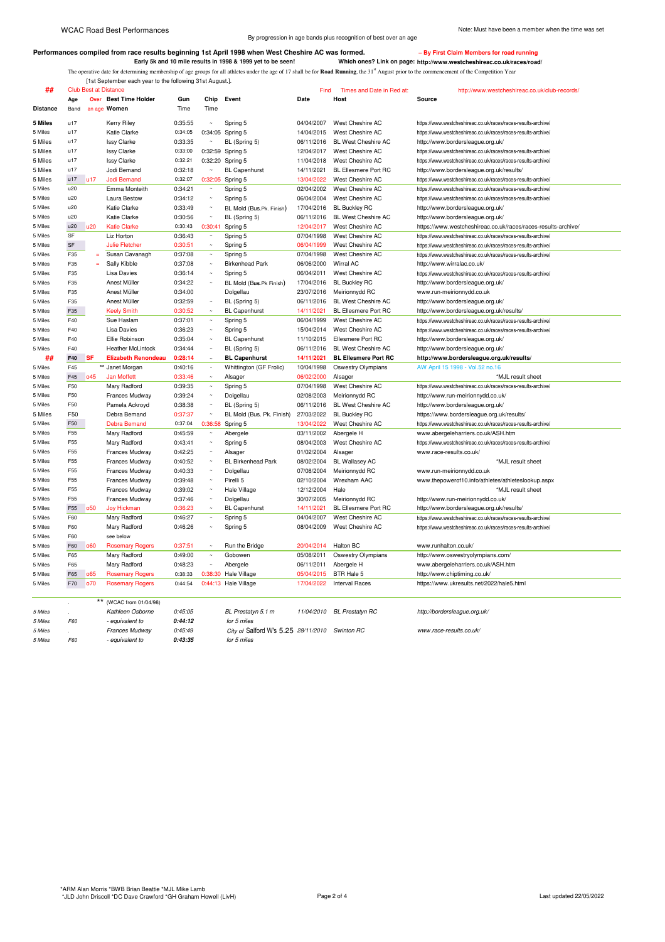[1st September each year to the following 31st August.].

By progression in age bands plus recognition of best over an age

## Performances compiled from race results beginning 1st April 1998 when West Cheshire AC was formed. **For a state of the UP First Claim Members for road runn**

**Early 5k and 10 mile results in 1998 & 1999 yet to be seen! Which ones? Link on page: http://www.westcheshireac.co.uk/races/road/** The operative date for determining membership of age groups for all athletes under the age of 17 shall be for **Road Running**, the 31<sup>st</sup> August prior to the commencement of the Competition Year

**##** Club Best at Distance Find Times and Date in Red at: http://www.westcheshireac.co.uk/club-records/ **Age Over Best Time Holder Gun Chip Event Date Host Source Distance** Band an age **Women** Time Time 5 Miles u17 Kerry Riley 0:35:55 ~ Spring 5 04/04/2007 West Cheshire AC https://www.westcheshireac.co.uk/races/races-results-archive/<br>1999- 5 Miles u17 Katie Clarke 0:34:05 0:34:05 Spring 5 14/04/2015 West Cheshire AC https 5 Miles u17 Katie Clarke 0:34:05 0:34:05 Spring 5 14/04/2015 West Cheshire AC https://www.westcheshireac.co.uk/races/races-results-archive/<br>5 Miles u17 Issy Clarke 0:33:35 ~ BL (Spring 5) 06/11/2016 BL West Cheshire AC htt 5 BL (Spring 5) 06/11/2016 BL West Cheshire AC http://www.bordersleague.org.uk/<br>12/04/2017 West Cheshire AC https://www.westcheshireac.co.uk/races/ 5 Miles u17 Issy Clarke 0:33:00 0:32:59 Spring 5 12/04/2017 West Cheshire AC https://www.westcheshireac.co.uk/races/races-results-archive/<br>5 Miles u17 Issy Clarke 0:32:21 0:32:20 Spring 5 11/04/2018 West Cheshire AC https: 5 Miles u17 Issy Clarke 0:32:21 0:32:20 Spring 5 11/04/2018 West Cheshire AC https://www.westcheshireac.co.uk/races/races-results-archive/<br>5 Miles u17 Jodi Bemand 0:32:18 ~ BL Capenhurst 14/11/2021 BL Ellesmere Port RC htt http://www.bordersleague.org.uk/results/ 5 Miles u17 u17 Jodi Bemand 0:32:07 0:32:05 Spring 5 13/04/2022 West Cheshire AC https://www.westcheshireac.co.uk/races/races-results-archive/<br>5 Miles u20 Emma Monteith 0:34:21 ~ Spring 5 02/04/2002 West Cheshire AC https: 5 Emma Monteith 10:34:21 - Spring 5 02/04/2002 West Cheshire AC https://www.westcheshireac.co.uk/races/races-results-archive<br>1. Laura Bestow 10:34:12 - Spring 5 06/04/2004 West Cheshire AC https://www.westcheshireac.co.uk/ 5 Miles u20 Laura Bestow 0:34:12 ~ Spring 5 06/04/2004 West Cheshire AC https://www.westcheshireac.co.uk/races/races-results-archive/ 5 Miles u20 Katie Clarke 0:33:49 ~ BL Mold (Bus.Pk. Finish) 17/04/2016 BL Buckley RC http://www.bordersleague.org.uk<br>1999 - S Miles u20 Katie Clarke 0:30:56 ~ BL (Spring 5) 06/11/2016 BL West Cheshire AC http://www.borders http://www.bordersleague.org.uk/ 5 Miles u20 u20 Katie Clarke 0:30:43 0:30:41 Spring 5 12/04/2017 West Cheshire AC https://www.westcheshireac.co.uk/races/races-results-archive/<br>5 Miles SF Liz Horton 0:36:43 ~ Spring 5 07/04/1998 West Cheshire AC https://w SF Liz Horton 0:36:43 ~ Spring 5 07/04/1998 West Cheshire AC https://www.westcheshireac.co.uk/races/races-results-archive/ 5 Miles SF Julie Fletcher 0:30:51 ~ Spring 5 06/04/1999 West Cheshire AC https://www.westcheshireac.co.uk/races/races-results-archive/ 5 Miles F35 = Susan Cavanagh 0:37:08 ~ Spring 5 07/04/1998 West Cheshire AC https://www.westcheshireac.co.uk/races/races-results-archive<br>5 Miles F35 = Sally Kibble 0:37:08 ~ Birkenhead Park 06/06/2000 Wirral AC http://www. 5 Miles F35 = Sally Kibble 0:37:08 ~ Birkenhead Park 06/06/2000 Wirral AC<br>5 Miles F35 Lisa Davies 0:36:14 ~ Spring 5 06/04/2011 West Ches 5 Miles F35 Lisa Davies 0:36:14 ~ Spring 5 06/04/2011 West Cheshire AC https://www.westcheshireac.co.uk/races/races-results-archive/<br>5 Miles F35 Anest Müller 0:34:22 ~ BL Mold (Bun Dk Einich) 17/04/2016 BL Burkley BC http: 5 Miles F35 Anest Müller 0:34:22 ~ BL Mold (B**us**.Pk Finish) 17/04/2016 BL Buckley RC http://www.bordersleague.org.uk/ 5 Miles F35 Miles F35 Meirionnydd RC www.run-meirionnydd.co.uk<br>1991 - BL (Spring 5) 06/11/2016 BL West Cheshire AC http://www.bordersleague.org 5 Miles F35 Anest Müller 0:32:59 ~ BL (Spring 5) 06/11/2016 BL West Cheshire AC http://www.bordersleague.org.uk/ 5 Miles F35 Keely Smith 0:30:52 ~ BL Capenhurst 14/11/2021 BL Ellesmere Port RC http://www.bordersleague.org.uk/results/ 5 Miles F40 Sue Haslam 0:37:01 ~ Spring 5 06/04/1999 West Cheshire AC https://www.westcheshireac.co.uk/races/races-results-archive<br>5 Miles F40 Lies Davies 0:36:23 ~ Spring 5 15/04/2014 West Checking AC https://www.westches 5/04/2014 West Cheshire AC https://www.westcheshireac.co.uk/races/races-results-archive/<br>11/10/2015 Ellesmere Port RC http://www.bordersleague.org.uk/<br>F40 Ellie Robinson 0:35:04 ~ BL Capenhurst 11/10/2015 Ellesmere Port RC 5 Miles F40 Ellie Robinson 0:35:04 ~ BL Capenhurst 11/10/2015 Ellesmere Port RC http://www.bordersleague.org.uk/ 5 Miles F40 Heather McLintock 0:34:44 ~ BL (Spring 5) 06/11/2016 BL West Cheshire AC http://www.bordersleague.org.uk/<br>Http://www.bordersleague.org.uk/#Fa0 SF Elizabeth Renondeau 0:28:14 ~ BL Capenhurst 14/11/2021 BL Ellesm **## F40 SF Elizabeth Renondeau 0:28:14 ~ BL Capenhurst 14/11/2021 BL Ellesmere Port RC http://www.bordersleague.org.uk/results/** 5 Miles F45 **\*\*** Janet Morgan 0:40:16 - Whittington (GF Frolic) 10/04/1998 Oswestry Olympians AW April 15 1998 - Vol.52 no.<br>15 Miles E45 d45 Jan Motfett 0:33:46 > Alsager 06/02/2000 Alsager 5 Miles F45 o45 Jan Moffett 0:33:46 ~ Alsager 06/02/2000 Alsager \* \*MJL result sheet 5 Miles F50 Mary Radford 0:39:35 - Spring 5 07/04/1998 West Cheshire AC https://www.westcheshireac.co.uk/races/races-results-archive/<br>1999 - Swilles F50 Frances Mudway 0:39:24 - Dolgellau 02/08/2003 Meirionnydd RC http://w 550 Frances Mudway 0:39:24 ~ Dolgellau 02/08/2003 Meirionnydd RC http://www.run-meirionnydd.co.uk/<br>1991 - The Miles Meirice (1993) 1991 - 1992 06/11/2016 BL West Cheshire AC http://www.bordersleague.org.uk/ 5 Miles F50 Pamela Ackroyd 0:38:38 ~ BL (Spring 5) 06/11/2016 BL West Cheshire AC http://www.bordersleague.org.uk/ 5 Miles F50 Debra Bemand 0:37:37 ~ BL Mold (Bus. Pk. Finish) 27/03/2022 BL Buckley RC https://www.bordersleague.org.uk/results/<br>5 Miles F50 Debra Bemand 0:37:04 0:36:58 Spring 5 13/04/2022 West Cheshire AC https://www.west 5 Miles F50 Debra Bemand 0:37:04 0:36:58 Spring 5 13/04/2022 West Cheshire AC https://www.westcheshireac.co.uk/races/races-results-archive/<br>5 Miles F55 Mary Radford 0:45:59 - Abergele 03/11/2002 Abergele H www.abergeleharr 55 Mary Radford 0:45:59 ~ Abergele 03/11/2002 Abergele H www.abergeleharriers.co.uk/ASH.htm<br>55 Mary Radford 0:43:41 ~ Spring 5 08/04/2003 West Cheshire AC https://www.westcheshireac.co.uk/races/race 5 Miles F55 Mary Radford 0:43:41 ~ Spring 5 08/04/2003 West Cheshire AC https://www.westcheshireac.co.uk/races/races-results-archive/<br>1992/2004 Alsager 1/1/2/2004 Alsager 1/2/2004 Alsager www.race-results.co.uk/ 5 Miles F55 Frances Mudway 0:42:25 ~ Alsager 01/02/2004 Alsager www.race-results.co.uk/<br>5 Miles F55 Frances Mudway 0:40:52 ~ BL Birkenhead Park 08/02/2004 BL Wallasey AC 5 Miles F55 Frances Mudway 0:40:52 ~ BL Birkenhead Park 08/02/2004 BL Wallasey AC \*MJL result sheet 5 Miles F55 Frances Mudway 0:40:33 ~ Dolgellau 07/08/2004 Meirionnydd RC www.run-meirionnydd.co.uk 5 Miles F55 Frances Mudway 0:39:48 ~ Pirelli 5 02/10/2004 Wrexham AAC www.thepowerof10.info/athletes/athleteslookup.aspx<br>5 Miles F55 Frances Mudwav 0:39:02 ~ Hale Village 12/12/2004 Hale 5 Miles F55 Frances Mudway 0:39:02 ~ Hale Village 12/12/2004 Hale \* The state of the theet 5 Miles F55 Frances Mudway 0:37:46 ~ Dolgellau 30/07/2005 Meirionnydd RC http://www.run-meirionnydd.co.uk/<br>5 Miles F55 o50 Joy Hickman 0:36:23 ~ BL Capenhurst 14/11/2021 BL Ellesmere Port RC http://www.bordersleague.org.uk 5 Joy Hickman 20:36:23 ~ BL Capenhurst 14/11/2021 BL Ellesmere Port RC http://www.bordersleague.org.uk/results/<br>19/04/2007 West Cheshire AC https://www.westcheshirea.co.uk/races/race-res 5 Miles F60 Mary Radford 0:46:27 ~ Spring 5 04/04/2007 West Cheshire AC https://www.westcheshireac.co.uk/races/races-results-archive/<br>5 Miles F60 Mary Radford 0:46:26 ~ Spring 5 08/04/2009 West Cheshire AC https://www.west 5 Miles F60 Mary Radford 0:46:26 ~ Spring 5 08/04/2009 West Cheshire AC https://www.westcheshireac.co.uk/races/races-results-archive/<br>5 Miles F60 see below F60 see below 5 Miles F60 o60 Rosemary Rogers 0:37:51 ~ Run the Bridge 20/04/2014 Halton BC www.runhalton.co.uk/<br>5 Miles F65 Mary Radford 0:49:00 ~ Gobowen 05/08/2011 Oswestry Olympians http://www.oswestryol 5 Miles F65 Mary Radford 0:49:00 ~ Gobowen 05/08/2011 Oswestry Olympians http://www.oswestryolympians.com/ 5 Miles F65 Mary Radford 0:48:23 ~ Abergele 06/11/2011 Abergele H www.abergeleharriers.co.uk/ASH.htm<br>5 Miles F65 o65 Rosemary Rogers 0:38:33 0:38:30 Hale Village 05/04/2015 BTR Hale 5 http://www.chiptiming.co.uk/ 5 THE F65 O65 Rosemary Rogers 0:38:33 0:38:30 Hale Village 05/04/2015 BTR Hale 5 http://www.chiptiming.co.uk/<br>1999 F70 nosemary Rogers 0:44:54 0:44:13 Hale Village 17/04/2022 Interval Races https://www.ukresults.net/20: 5 Miles F70 o70 Rosemary Rogers 0:44:54 0:44:13 Hale Village 17/04/2022 Interval Races https://www.ukresults.net/2022/hale5.html \*\* (WCAC from 01/04/98)<br>Kathleen Osborne *5 Miles . Kathleen Osborne 0:45:05 BL Prestatyn 5.1 m 11/04/2010 BL Prestatyn RC http://bordersleague.org.uk/ 5 Miles F60 - equivalent to* **0:44:12** *for 5 miles 5 Miles . Frances Mudway 0:45:49 City of* Salford W's 5.25 *28/11/2010 Swinton RC www.race-results.co.uk/*

*5 Miles F60 - equivalent to* **0:43:35** *for 5 miles*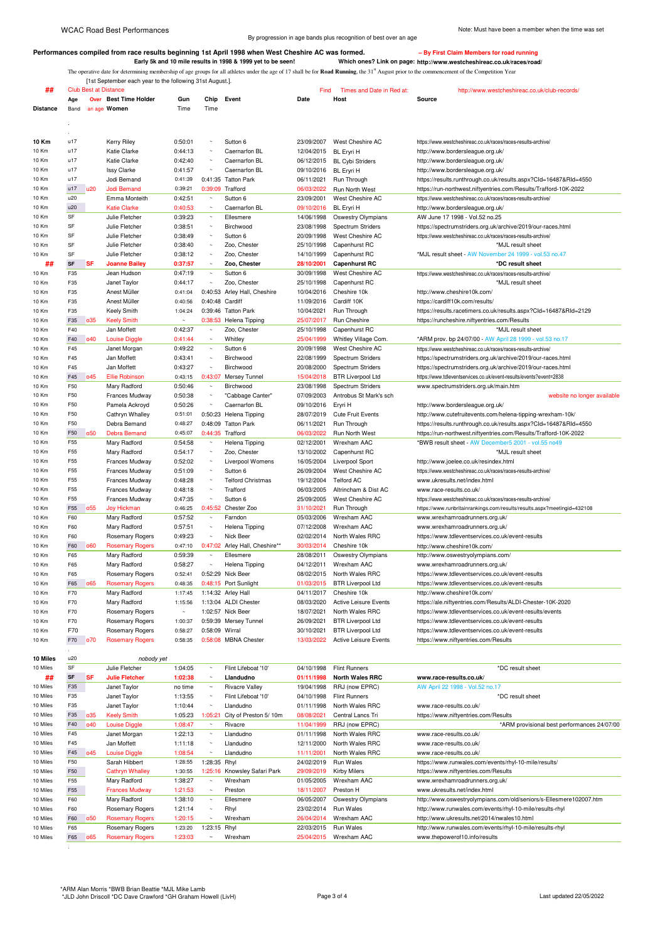By progression in age bands plus recognition of best over an age

## **Performances compiled from race results beginning 1st April 1998 when West Cheshire AC was formed. – By First Claim Members for road running**

**Early 5k and 10 mile results in 1998 & 1999 yet to be seen! Which ones? Link on page: http://www.westcheshireac.co.uk/races/road/** The operative date for determining membership of age groups for all athletes under the age of 17 shall be for **Road Running**, the 31st August prior to the commencement of the Competition Year

[1st September each year to the following 31st August.].

| ##              |                 |            | <b>Club Best at Distance</b> |         |                       |                                | Find       | Times and Date in Red at:    | http://www.westcheshireac.co.uk/club-records/                            |
|-----------------|-----------------|------------|------------------------------|---------|-----------------------|--------------------------------|------------|------------------------------|--------------------------------------------------------------------------|
|                 | Age             |            | <b>Over</b> Best Time Holder | Gun     | Chip                  | Event                          | Date       | Host                         | Source                                                                   |
| <b>Distance</b> | Band            |            | an age Women                 | Time    | Time                  |                                |            |                              |                                                                          |
|                 |                 |            |                              |         |                       |                                |            |                              |                                                                          |
|                 |                 |            |                              |         |                       |                                |            |                              |                                                                          |
|                 |                 |            |                              |         |                       |                                |            |                              |                                                                          |
| 10 Km           | u17             |            | Kerry Riley                  | 0:50:01 | $\sim$                | Sutton 6                       | 23/09/2007 | West Cheshire AC             | https://www.westcheshireac.co.uk/races/races-results-archive/            |
| 10 Km           | u17             |            | Katie Clarke                 | 0:44:13 | $\sim$                | Caernarfon BL                  | 12/04/2015 | <b>BL</b> Eryri H            | http://www.bordersleague.org.uk/                                         |
| 10 Km           | u17             |            | Katie Clarke                 | 0:42:40 | $\sim$                | Caernarfon BL                  | 06/12/2015 | <b>BL Cvbi Striders</b>      | http://www.bordersleague.org.uk/                                         |
| 10 Km           | u17             |            | <b>Issy Clarke</b>           | 0:41:57 | $\sim$                | Caernarfon BL                  | 09/10/2016 | <b>BL</b> Eryri H            | http://www.bordersleague.org.uk/                                         |
| 10 Km           | u17             |            | Jodi Bemand                  | 0:41:39 | 0:41:35               | <b>Tatton Park</b>             | 06/11/2021 | Run Through                  | https://results.runthrough.co.uk/results.aspx?Cld=16487&Rld=4550         |
| 10 Km           | u17             | u20        | <b>Jodi Bemand</b>           | 0:39:21 | 0:39:09               | Trafford                       | 06/03/2022 | Run North West               | https://run-northwest.niftyentries.com/Results/Trafford-10K-2022         |
| 10 Km           | u20             |            | Emma Monteith                | 0:42:51 | $\sim$                | Sutton 6                       | 23/09/2001 | West Cheshire AC             | https://www.westcheshireac.co.uk/races/races-results-archive/            |
| 10 Km           | u20             |            | <b>Katie Clarke</b>          | 0:40:53 | $\sim$                | Caernarfon BL                  | 09/10/2016 | <b>BL Eryri H</b>            | http://www.bordersleague.org.uk/                                         |
| 10 Km           | SF              |            | Julie Fletcher               | 0:39:23 | $\sim$                | Ellesmere                      | 14/06/1998 | Oswestry Olympians           | AW June 17 1998 - Vol.52 no.25                                           |
| 10 Km           | SF              |            | Julie Fletcher               | 0:38:51 | $\sim$                | Birchwood                      | 23/08/1998 | Spectrum Striders            | https://spectrumstriders.org.uk/archive/2019/our-races.html              |
| 10 Km           | SF              |            | Julie Fletcher               | 0:38:49 | $\sim$                | Sutton 6                       | 20/09/1998 | West Cheshire AC             | https://www.westcheshireac.co.uk/races/races-results-archive/            |
| 10 Km           | SF              |            | Julie Fletcher               | 0:38:40 | $\tilde{\phantom{a}}$ | Zoo, Chester                   | 25/10/1998 | Capenhurst RC                | *MJL result sheet                                                        |
| 10 Km           | SF              |            | Julie Fletcher               | 0:38:12 | $\sim$                | Zoo, Chester                   | 14/10/1999 | Capenhurst RC                | *MJL result sheet - AW November 24 1999 - vol.53 no.47                   |
| ##              | <b>SF</b>       | <b>SF</b>  | <b>Joanne Bailey</b>         | 0:37:57 | $\sim$                | Zoo, Chester                   | 28/10/2001 | <b>Capenhurst RC</b>         | *DC result sheet                                                         |
| 10 Km           | F35             |            | Jean Hudson                  | 0:47:19 | $\sim$                | Sutton 6                       | 30/09/1998 | West Cheshire AC             | https://www.westcheshireac.co.uk/races/races-results-archive/            |
| 10 Km           | F35             |            | Janet Taylor                 | 0:44:17 | $\sim$                | Zoo, Chester                   | 25/10/1998 | Capenhurst RC                | *MJL result sheet                                                        |
| 10 Km           | F35             |            |                              | 0:41:04 |                       | 0:40:53 Arley Hall, Cheshire   |            | Cheshire 10k                 | http://www.cheshire10k.com/                                              |
|                 |                 |            | Anest Müller<br>Anest Müller |         |                       |                                | 10/04/2016 | Cardiff 10K                  |                                                                          |
| 10 Km           | F35<br>E35      |            |                              | 0:40:56 | 0:40:48 Cardiff       |                                | 11/09/2016 |                              | https://cardiff10k.com/results/                                          |
| 10 Km           |                 |            | Keely Smith                  | 1:04:24 |                       | 0:39:46 Tatton Park            | 10/04/2021 | Run Through                  | https://results.racetimers.co.uk/results.aspx?Cld=16487&Rld=2129         |
| 10 Km           | F35             | 035        | <b>Keely Smith</b>           |         |                       | 0:38:53 Helena Tipping         | 25/07/2017 | Run Cheshire                 | https://runcheshire.niftyentries.com/Results                             |
| 10 Km           | F40             |            | Jan Moffett                  | 0:42:37 | $\sim$                | Zoo, Chester                   | 25/10/1998 | Capenhurst RC                | *MJL result sheet                                                        |
| 10 Km           | F40             | 040        | <b>Louise Diggle</b>         | 0:41:44 | $\sim$                | Whitley                        | 25/04/1999 | Whitley Village Com.         | *ARM prov. bp 24/07/00 - AW April 28 1999 - vol.53 no.17                 |
| 10 Km           | F45             |            | Janet Morgan                 | 0:49:22 | $\sim$                | Sutton 6                       | 20/09/1998 | West Cheshire AC             | https://www.westcheshireac.co.uk/races/races-results-archive/            |
| 10 Km           | F45             |            | Jan Moffett                  | 0:43:41 | $\sim$                | Birchwood                      | 22/08/1999 | Spectrum Striders            | https://spectrumstriders.org.uk/archive/2019/our-races.html              |
| 10 Km           | F45             |            | Jan Moffett                  | 0:43:27 | $\sim$                | Birchwood                      | 20/08/2000 | Spectrum Striders            | https://spectrumstriders.org.uk/archive/2019/our-races.html              |
| 10 Km           | F45             | 045        | <b>Ellie Robinson</b>        | 0:43:15 | 0:43:07               | Mersey Tunnel                  | 15/04/2018 | <b>BTR Liverpool Ltd</b>     | https://www.tdleventservices.co.uk/event-results/events?event=2838       |
| 10 Km           | F50             |            | Mary Radford                 | 0:50:46 | $\sim$                | Birchwood                      | 23/08/1998 | Spectrum Striders            | www.spectrumstriders.org.uk/main.htm                                     |
| 10 Km           | F50             |            | Frances Mudway               | 0:50:38 | $\sim$                | "Cabbage Canter"               | 07/09/2003 | Antrobus St Mark's sch       | website no longer available                                              |
| 10 Km           | F50             |            | Pamela Ackroyd               | 0:50:26 | $\sim$                | Caernarfon BL                  | 09/10/2016 | Eryri H                      | http://www.bordersleague.org.uk/                                         |
| 10 Km           | F50             |            | Cathryn Whalley              | 0:51:01 |                       | 0:50:23 Helena Tipping         | 28/07/2019 | Cute Fruit Events            | http://www.cutefruitevents.com/helena-tipping-wrexham-10k/               |
| 10 Km           | F50             |            | Debra Bemand                 | 0:48:27 |                       | 0:48:09 Tatton Park            | 06/11/2021 | Run Through                  | https://results.runthrough.co.uk/results.aspx?Cld=16487&Rld=4550         |
| 10 Km           | F <sub>50</sub> | <b>o50</b> | <b>Debra Bemand</b>          | 0:45:07 |                       | 0:44:35 Trafford               | 06/03/2022 | Run North West               | https://run-northwest.niftyentries.com/Results/Trafford-10K-2022         |
| 10 Km           | F <sub>55</sub> |            | Mary Radford                 | 0:54:58 | $\sim$                | Helena Tipping                 | 02/12/2001 | Wrexham AAC                  | *BWB result sheet - AW December5 2001 - vol.55 no49                      |
| 10 Km           | F55             |            | Mary Radford                 | 0:54:17 | $\sim$                | Zoo, Chester                   | 13/10/2002 | Capenhurst RC                | *MJL result sheet                                                        |
| 10 Km           | F <sub>55</sub> |            | Frances Mudway               | 0:52:02 | $\sim$                | Liverpool Womens               | 16/05/2004 | <b>Liverpool Sport</b>       |                                                                          |
|                 |                 |            |                              |         | $\sim$                |                                |            |                              | http://www.joelee.co.uk/resindex.html                                    |
| 10 Km           | F55             |            | Frances Mudway               | 0:51:09 | $\sim$                | Sutton 6                       | 26/09/2004 | West Cheshire AC             | https://www.westcheshireac.co.uk/races/races-results-archive/            |
| 10 Km           | F55             |            | Frances Mudway               | 0:48:28 |                       | <b>Telford Christmas</b>       | 19/12/2004 | <b>Telford AC</b>            | www.ukresults.net/index.html                                             |
| 10 Km           | F <sub>55</sub> |            | Frances Mudway               | 0:48:18 | $\sim$                | Trafford                       | 06/03/2005 | Altrincham & Dist AC         | www.race-results.co.uk/                                                  |
| 10 Km           | F55             |            | Frances Mudway               | 0:47:35 | $\sim$                | Sutton 6                       | 25/09/2005 | West Cheshire AC             | https://www.westcheshireac.co.uk/races/races-results-archive/            |
| 10 Km           | F55             | <b>o55</b> | <b>Joy Hickman</b>           | 0:46:25 | 0:45:52               | Chester Zoo                    | 31/10/2021 | Run Through                  | https://www.runbritainrankings.com/results/results.aspx?meetingid=432108 |
| 10 Km           | F60             |            | Mary Radford                 | 0:57:52 | $\sim$                | Farndon                        | 05/03/2006 | Wrexham AAC                  | www.wrexhamroadrunners.org.uk/                                           |
| 10 Km           | F60             |            | Mary Radford                 | 0:57:51 | $\sim$                | Helena Tipping                 | 07/12/2008 | Wrexham AAC                  | www.wrexhamroadrunners.org.uk/                                           |
| 10 Km           | F60             |            | <b>Rosemary Rogers</b>       | 0:49:23 | $\sim$                | Nick Beer                      | 02/02/2014 | North Wales RRC              | https://www.tdleventservices.co.uk/event-results                         |
| 10 Km           | F60             | <b>o60</b> | <b>Rosemary Rogers</b>       | 0:47:10 |                       | 0:47:02 Arley Hall, Cheshire** | 30/03/2014 | Cheshire 10k                 | http://www.cheshire10k.com/                                              |
| 10 Km           | F65             |            | Mary Radford                 | 0:59:39 | $\sim$                | Ellesmere                      | 28/08/2011 | Oswestry Olympians           | http://www.oswestryolympians.com/                                        |
| 10 Km           | F65             |            | Mary Radford                 | 0:58:27 | $\sim$                | Helena Tipping                 | 04/12/2011 | Wrexham AAC                  | www.wrexhamroadrunners.org.uk/                                           |
| 10 Km           | F65             |            | Rosemary Rogers              | 0:52:41 |                       | 0:52:29 Nick Beer              | 08/02/2015 | North Wales RRC              | https://www.tdleventservices.co.uk/event-results                         |
| 10 Km           | F65             | 065        | <b>Rosemary Rogers</b>       | 0:48:35 |                       | 0:48:15 Port Sunlight          | 01/03/2015 | <b>BTR Liverpool Ltd</b>     | https://www.tdleventservices.co.uk/event-results                         |
| 10 Km           | F70             |            | Mary Radford                 | 1:17:45 |                       | 1:14:32 Arley Hall             | 04/11/2017 | Cheshire 10k                 | http://www.cheshire10k.com/                                              |
| 10 Km           | F70             |            | Mary Radford                 | 1:15:56 |                       | 1:13:04 ALDI Chester           | 08/03/2020 | Active Leisure Events        | https://ale.niftyentries.com/Results/ALDI-Chester-10K-2020               |
| 10 Km           | F70             |            | <b>Rosemary Rogers</b>       |         |                       | 1:02:57 Nick Beer              | 18/07/2021 | North Wales RRC              | https://www.tdleventservices.co.uk/event-results/events                  |
| 10 Km           | F70             |            | Rosemary Rogers              | 1:00:37 |                       | 0:59:39 Mersey Tunnel          | 26/09/2021 | <b>BTR Liverpool Ltd</b>     | https://www.tdleventservices.co.uk/event-results                         |
| 10 Km           | F70             |            |                              | 0:58:27 | 0:58:09 Wirral        |                                |            |                              |                                                                          |
|                 | F70             |            | Rosemary Rogers              | 0:58:35 |                       |                                | 30/10/2021 | <b>BTR Liverpool Ltd</b>     | https://www.tdleventservices.co.uk/event-results                         |
| 10 Km           |                 | <b>o70</b> | <b>Rosemary Rogers</b>       |         |                       | 0:58:08 MBNA Chester           | 13/03/2022 | <b>Active Leisure Events</b> | https://www.niftyentries.com/Results                                     |
|                 |                 |            |                              |         |                       |                                |            |                              |                                                                          |

| <b>10 Miles</b> | u20             |                 | nobody yet             |         |              |                       |            |                        |                                                                    |
|-----------------|-----------------|-----------------|------------------------|---------|--------------|-----------------------|------------|------------------------|--------------------------------------------------------------------|
| 10 Miles        | SF              |                 | Julie Fletcher         | 1:04:05 | $\sim$       | Flint Lifeboat '10'   | 04/10/1998 | <b>Flint Runners</b>   | *DC result sheet                                                   |
| ##              | <b>SF</b>       | <b>SF</b>       | <b>Julie Fletcher</b>  | 1:02:38 | $\sim$       | Llandudno             | 01/11/1998 | <b>North Wales RRC</b> | www.race-results.co.uk/                                            |
| 10 Miles        | F35             |                 | Janet Taylor           | no time | $\sim$       | Rivacre Valley        | 19/04/1998 | RRJ (now EPRC)         | AW April 22 1998 - Vol.52 no.17                                    |
| 10 Miles        | F35             |                 | Janet Taylor           | 1:13:55 | $\sim$       | Flint Lifeboat '10'   | 04/10/1998 | <b>Flint Runners</b>   | *DC result sheet                                                   |
| 10 Miles        | F35             |                 | Janet Taylor           | 1:10:44 | $\sim$       | Llandudno             | 01/11/1998 | North Wales RRC        | www.race-results.co.uk/                                            |
| 10 Miles        | F35             | 035             | <b>Keely Smith</b>     | 1:05:23 | 1:05:21      | City of Preston 5/10m | 08/08/2021 | Central Lancs Tri      | https://www.niftyentries.com/Results                               |
| 10 Miles        | F40             | 040             | <b>Louise Diggle</b>   | 1:08:47 | $\sim$       | Rivacre               | 11/04/1999 | RRJ (now EPRC)         | *ARM provisional best performances 24/07/00                        |
| 10 Miles        | F45             |                 | Janet Morgan           | 1:22:13 | $\sim$       | Llandudno             | 01/11/1998 | North Wales RRC        | www.race-results.co.uk/                                            |
| 10 Miles        | F45             |                 | Jan Moffett            | 1:11:18 | $\sim$       | Llandudno             | 12/11/2000 | North Wales RRC        | www.race-results.co.uk/                                            |
| 10 Miles        | F45             | 045             | <b>Louise Diggle</b>   | 1:08:54 | $\sim$       | Llandudno             | 11/11/2001 | North Wales RRC        | www.race-results.co.uk/                                            |
| 10 Miles        | F50             |                 | Sarah Hibbert          | 1:28:55 | 1:28:35      | Rhyl                  | 24/02/2019 | Run Wales              | https://www.runwales.com/events/rhyl-10-mile/results/              |
| 10 Miles        | F50             |                 | <b>Cathryn Whalley</b> | 1:30:55 | 1:25:16      | Knowsley Safari Park  | 29/09/2019 | Kirby Milers           | https://www.niftyentries.com/Results                               |
| 10 Miles        | F <sub>55</sub> |                 | Mary Radford           | 1:38:27 | $\sim$       | Wrexham               | 01/05/2005 | Wrexham AAC            | www.wrexhamroadrunners.org.uk/                                     |
| 10 Miles        | F <sub>55</sub> |                 | <b>Frances Mudway</b>  | 1:21:53 | $\sim$       | Preston               | 18/11/2007 | Preston H              | www.ukresults.net/index.html                                       |
| 10 Miles        | F60             |                 | Mary Radford           | 1:38:10 | $\sim$       | Ellesmere             | 06/05/2007 | Oswestry Olympians     | http://www.oswestryolympians.com/old/seniors/s-Ellesmere102007.htm |
| 10 Miles        | F60             |                 | Rosemary Rogers        | 1:21:14 | $\sim$       | Rhyl                  | 23/02/2014 | Run Wales              | http://www.runwales.com/events/rhyl-10-mile/results-rhyl           |
| 10 Miles        | F60             | o <sub>50</sub> | <b>Rosemary Rogers</b> | 1:20:15 | $\sim$       | Wrexham               | 26/04/2014 | Wrexham AAC            | http://www.ukresults.net/2014/nwales10.html                        |
| 10 Miles        | F65             |                 | Rosemary Rogers        | 1:23:20 | 1:23:15 Rhyl |                       | 22/03/2015 | Run Wales              | http://www.runwales.com/events/rhyl-10-mile/results-rhyl           |
| 10 Miles        | F65             | 065             | <b>Rosemary Rogers</b> | 1:23:03 | $\sim$       | Wrexham               | 25/04/2015 | Wrexham AAC            | www.thepowerof10.info/results                                      |
|                 |                 |                 |                        |         |              |                       |            |                        |                                                                    |